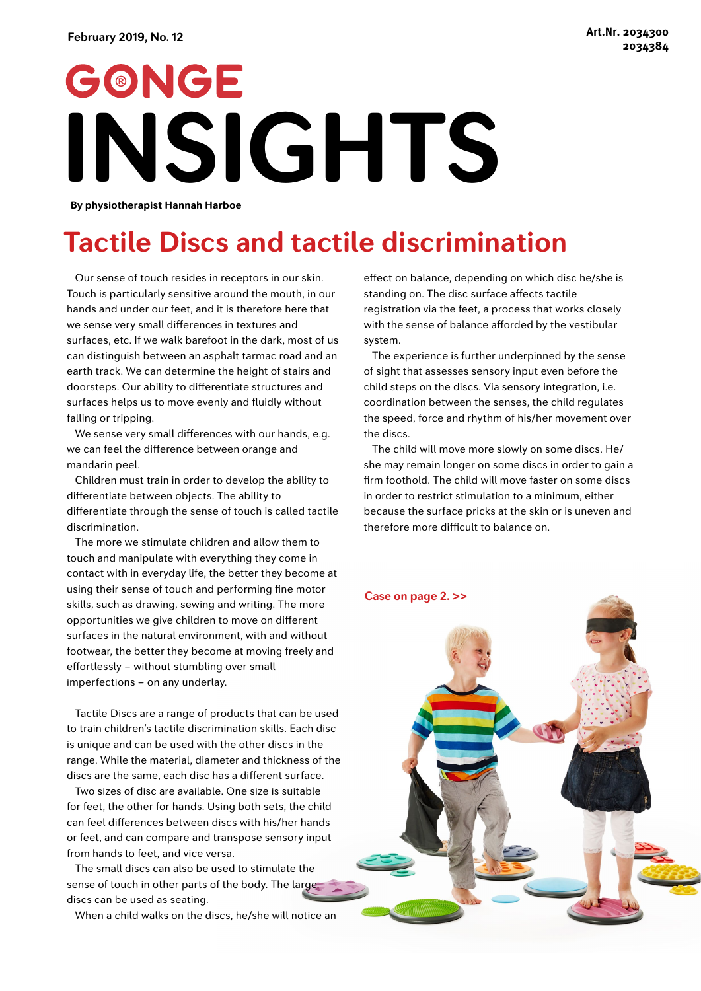## GONGE **INSIGHTS**

**By physiotherapist Hannah Harboe**

## **Tactile Discs and tactile discrimination**

Our sense of touch resides in receptors in our skin. Touch is particularly sensitive around the mouth, in our hands and under our feet, and it is therefore here that we sense very small differences in textures and surfaces, etc. If we walk barefoot in the dark, most of us can distinguish between an asphalt tarmac road and an earth track. We can determine the height of stairs and doorsteps. Our ability to differentiate structures and surfaces helps us to move evenly and fluidly without falling or tripping.

We sense very small differences with our hands, e.g. we can feel the difference between orange and mandarin peel.

Children must train in order to develop the ability to differentiate between objects. The ability to differentiate through the sense of touch is called tactile discrimination.

The more we stimulate children and allow them to touch and manipulate with everything they come in contact with in everyday life, the better they become at using their sense of touch and performing fine motor skills, such as drawing, sewing and writing. The more opportunities we give children to move on different surfaces in the natural environment, with and without footwear, the better they become at moving freely and effortlessly – without stumbling over small imperfections – on any underlay.

Tactile Discs are a range of products that can be used to train children's tactile discrimination skills. Each disc is unique and can be used with the other discs in the range. While the material, diameter and thickness of the discs are the same, each disc has a different surface.

Two sizes of disc are available. One size is suitable for feet, the other for hands. Using both sets, the child can feel differences between discs with his/her hands or feet, and can compare and transpose sensory input from hands to feet, and vice versa.

The small discs can also be used to stimulate the sense of touch in other parts of the body. The large discs can be used as seating.

When a child walks on the discs, he/she will notice an

effect on balance, depending on which disc he/she is standing on. The disc surface affects tactile registration via the feet, a process that works closely with the sense of balance afforded by the vestibular system.

The experience is further underpinned by the sense of sight that assesses sensory input even before the child steps on the discs. Via sensory integration, i.e. coordination between the senses, the child regulates the speed, force and rhythm of his/her movement over the discs.

The child will move more slowly on some discs. He/ she may remain longer on some discs in order to gain a firm foothold. The child will move faster on some discs in order to restrict stimulation to a minimum, either because the surface pricks at the skin or is uneven and therefore more difficult to balance on.